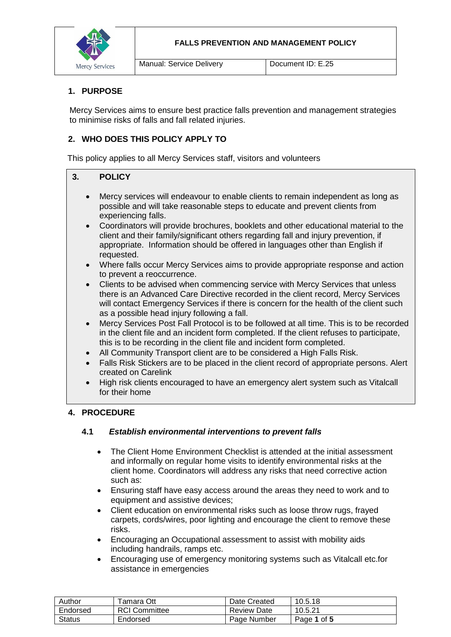



### **1. PURPOSE**

Mercy Services aims to ensure best practice falls prevention and management strategies to minimise risks of falls and fall related injuries.

### **2. WHO DOES THIS POLICY APPLY TO**

This policy applies to all Mercy Services staff, visitors and volunteers

#### **3. POLICY**

- Mercy services will endeavour to enable clients to remain independent as long as possible and will take reasonable steps to educate and prevent clients from experiencing falls.
- Coordinators will provide brochures, booklets and other educational material to the client and their family/significant others regarding fall and injury prevention, if appropriate. Information should be offered in languages other than English if requested.
- Where falls occur Mercy Services aims to provide appropriate response and action to prevent a reoccurrence.
- Clients to be advised when commencing service with Mercy Services that unless there is an Advanced Care Directive recorded in the client record, Mercy Services will contact Emergency Services if there is concern for the health of the client such as a possible head injury following a fall.
- Mercy Services Post Fall Protocol is to be followed at all time. This is to be recorded in the client file and an incident form completed. If the client refuses to participate, this is to be recording in the client file and incident form completed.
- All Community Transport client are to be considered a High Falls Risk.
- Falls Risk Stickers are to be placed in the client record of appropriate persons. Alert created on Carelink
- High risk clients encouraged to have an emergency alert system such as Vitalcall for their home

#### **4. PROCEDURE**

#### **4.1** *Establish environmental interventions to prevent falls*

- The Client Home Environment Checklist is attended at the initial assessment and informally on regular home visits to identify environmental risks at the client home. Coordinators will address any risks that need corrective action such as:
- Ensuring staff have easy access around the areas they need to work and to equipment and assistive devices;
- Client education on environmental risks such as loose throw rugs, frayed carpets, cords/wires, poor lighting and encourage the client to remove these risks.
- Encouraging an Occupational assessment to assist with mobility aids including handrails, ramps etc.
- Encouraging use of emergency monitoring systems such as Vitalcall etc.for assistance in emergencies

| Author   | ⊺amara Ott           | Date Created       | 10.5.18     |
|----------|----------------------|--------------------|-------------|
| Endorsed | <b>RCI Committee</b> | <b>Review Date</b> | 10.5.21     |
| Status   | Endorsed             | Page Number        | Page 1 of 5 |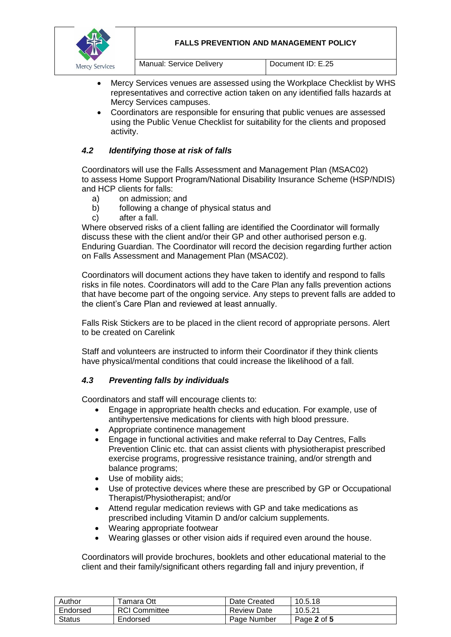#### **FALLS PREVENTION AND MANAGEMENT POLICY**



Manual: Service Delivery **Document ID: E.25** 

- Mercy Services venues are assessed using the Workplace Checklist by WHS representatives and corrective action taken on any identified falls hazards at Mercy Services campuses.
- Coordinators are responsible for ensuring that public venues are assessed using the Public Venue Checklist for suitability for the clients and proposed activity.

# *4.2 Identifying those at risk of falls*

Coordinators will use the Falls Assessment and Management Plan (MSAC02) to assess Home Support Program/National Disability Insurance Scheme (HSP/NDIS) and HCP clients for falls:

- a) on admission; and
- b) following a change of physical status and
- c) after a fall.

Where observed risks of a client falling are identified the Coordinator will formally discuss these with the client and/or their GP and other authorised person e.g. Enduring Guardian. The Coordinator will record the decision regarding further action on Falls Assessment and Management Plan (MSAC02).

Coordinators will document actions they have taken to identify and respond to falls risks in file notes. Coordinators will add to the Care Plan any falls prevention actions that have become part of the ongoing service. Any steps to prevent falls are added to the client's Care Plan and reviewed at least annually.

Falls Risk Stickers are to be placed in the client record of appropriate persons. Alert to be created on Carelink

Staff and volunteers are instructed to inform their Coordinator if they think clients have physical/mental conditions that could increase the likelihood of a fall.

### *4.3 Preventing falls by individuals*

Coordinators and staff will encourage clients to:

- Engage in appropriate health checks and education. For example, use of antihypertensive medications for clients with high blood pressure.
- Appropriate continence management
- Engage in functional activities and make referral to Day Centres, Falls Prevention Clinic etc. that can assist clients with physiotherapist prescribed exercise programs, progressive resistance training, and/or strength and balance programs;
- Use of mobility aids;
- Use of protective devices where these are prescribed by GP or Occupational Therapist/Physiotherapist; and/or
- Attend regular medication reviews with GP and take medications as prescribed including Vitamin D and/or calcium supplements.
- Wearing appropriate footwear
- Wearing glasses or other vision aids if required even around the house.

Coordinators will provide brochures, booklets and other educational material to the client and their family/significant others regarding fall and injury prevention, if

| Author   | ⊺amara Ott           | Date Created | 10.5.18     |
|----------|----------------------|--------------|-------------|
| Endorsed | <b>RCI Committee</b> | Review Date  | 10.5.21     |
| Status   | Endorsed             | Page Number  | Page 2 of 5 |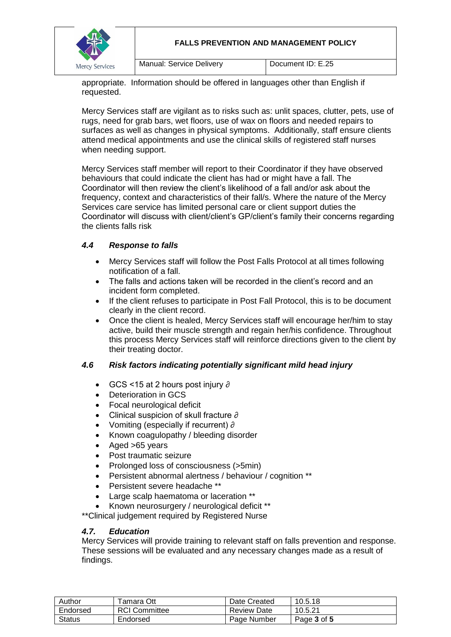

appropriate. Information should be offered in languages other than English if requested.

Mercy Services staff are vigilant as to risks such as: unlit spaces, clutter, pets, use of rugs, need for grab bars, wet floors, use of wax on floors and needed repairs to surfaces as well as changes in physical symptoms. Additionally, staff ensure clients attend medical appointments and use the clinical skills of registered staff nurses when needing support.

Mercy Services staff member will report to their Coordinator if they have observed behaviours that could indicate the client has had or might have a fall. The Coordinator will then review the client's likelihood of a fall and/or ask about the frequency, context and characteristics of their fall/s. Where the nature of the Mercy Services care service has limited personal care or client support duties the Coordinator will discuss with client/client's GP/client's family their concerns regarding the clients falls risk

### *4.4 Response to falls*

- Mercy Services staff will follow the Post Falls Protocol at all times following notification of a fall.
- The falls and actions taken will be recorded in the client's record and an incident form completed.
- If the client refuses to participate in Post Fall Protocol, this is to be document clearly in the client record.
- Once the client is healed, Mercy Services staff will encourage her/him to stay active, build their muscle strength and regain her/his confidence. Throughout this process Mercy Services staff will reinforce directions given to the client by their treating doctor.

### *4.6 Risk factors indicating potentially significant mild head injury*

- GCS <15 at 2 hours post injury ∂
- Deterioration in GCS
- Focal neurological deficit
- Clinical suspicion of skull fracture ∂
- Vomiting (especially if recurrent) ∂
- Known coagulopathy / bleeding disorder
- Aged >65 years
- Post traumatic seizure
- Prolonged loss of consciousness (>5min)
- Persistent abnormal alertness / behaviour / cognition \*\*
- Persistent severe headache \*\*
- Large scalp haematoma or laceration \*\*
- Known neurosurgery / neurological deficit \*\*

\*\*Clinical judgement required by Registered Nurse

#### *4.7. Education*

Mercy Services will provide training to relevant staff on falls prevention and response. These sessions will be evaluated and any necessary changes made as a result of findings.

| Author   | Гаmаrа Ott           | Date Created       | 10.5.18     |
|----------|----------------------|--------------------|-------------|
| Endorsed | <b>RCI</b> Committee | <b>Review Date</b> | 10.5.21     |
| Status   | Endorsed             | Page Number        | Page 3 of 5 |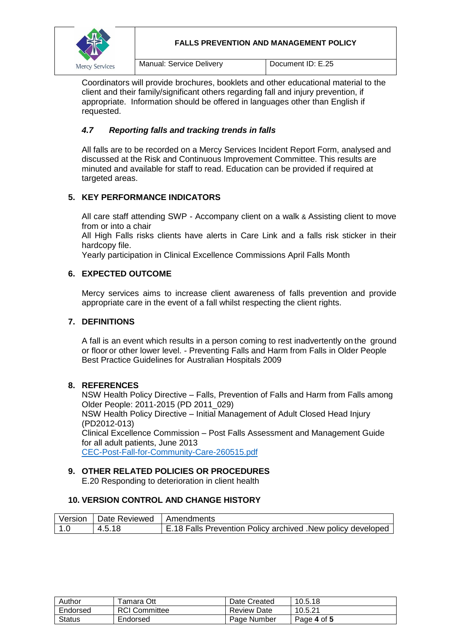

**FALLS PREVENTION AND MANAGEMENT POLICY**

Manual: Service Delivery **Document ID: E.25** 

Coordinators will provide brochures, booklets and other educational material to the client and their family/significant others regarding fall and injury prevention, if appropriate. Information should be offered in languages other than English if requested.

## *4.7 Reporting falls and tracking trends in falls*

All falls are to be recorded on a Mercy Services Incident Report Form, analysed and discussed at the Risk and Continuous Improvement Committee. This results are minuted and available for staff to read. Education can be provided if required at targeted areas.

# **5. KEY PERFORMANCE INDICATORS**

All care staff attending SWP - Accompany client on a walk & Assisting client to move from or into a chair

All High Falls risks clients have alerts in Care Link and a falls risk sticker in their hardcopy file.

Yearly participation in Clinical Excellence Commissions April Falls Month

### **6. EXPECTED OUTCOME**

Mercy services aims to increase client awareness of falls prevention and provide appropriate care in the event of a fall whilst respecting the client rights.

### **7. DEFINITIONS**

A fall is an event which results in a person coming to rest inadvertently on the ground or floor or other lower level. - Preventing Falls and Harm from Falls in Older People Best Practice Guidelines for Australian Hospitals 2009

### **8. REFERENCES**

NSW Health Policy Directive – Falls, Prevention of Falls and Harm from Falls among Older People: 2011-2015 (PD 2011\_029)

NSW Health Policy Directive – Initial Management of Adult Closed Head Injury (PD2012-013)

Clinical Excellence Commission – Post Falls Assessment and Management Guide for all adult patients, June 2013

[CEC-Post-Fall-for-Community-Care-260515.pdf](file://///mercy-dc01/Mercy$/Quality%20Health%20&%20Safety/falls/CEC-Post-Fall-for-Community-Care-260515.pdf)

### **9. OTHER RELATED POLICIES OR PROCEDURES**

E.20 Responding to deterioration in client health

#### **10. VERSION CONTROL AND CHANGE HISTORY**

|       | Version   Date Reviewed   Amendments |                                                              |
|-------|--------------------------------------|--------------------------------------------------------------|
| l 1.0 | 4.5.18                               | E.18 Falls Prevention Policy archived . New policy developed |

| Author        | <sup>⊓</sup> amara Ott | Date Created       | 10.5.18     |
|---------------|------------------------|--------------------|-------------|
| Endorsed      | <b>RCI</b> Committee   | <b>Review Date</b> | 10.5.21     |
| <b>Status</b> | Endorsed               | Page Number        | Page 4 of 5 |